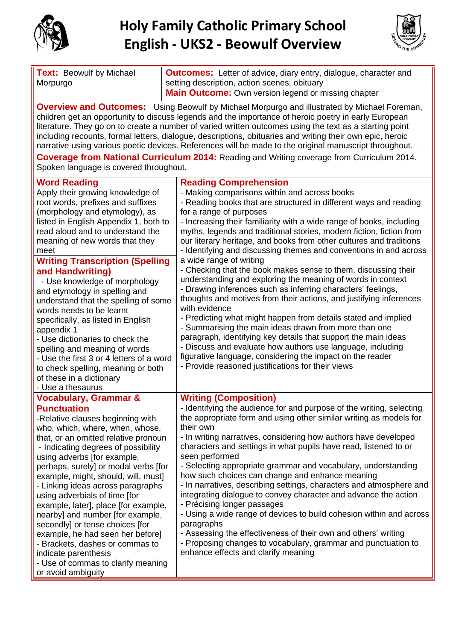

## **Holy Family Catholic Primary School English - UKS2 - Beowulf Overview**



| <b>Text: Beowulf by Michael</b><br>Morpurgo                                                                                                                                                                                                                                                                                                                                                                                                                                                                                                                                                                                                                                | <b>Outcomes:</b> Letter of advice, diary entry, dialogue, character and<br>setting description, action scenes, obituary<br><b>Main Outcome:</b> Own version legend or missing chapter                                                                                                                                                                                                                                                                                                                                                                                                                                                                                                                                                                                                                                                                                                                        |  |
|----------------------------------------------------------------------------------------------------------------------------------------------------------------------------------------------------------------------------------------------------------------------------------------------------------------------------------------------------------------------------------------------------------------------------------------------------------------------------------------------------------------------------------------------------------------------------------------------------------------------------------------------------------------------------|--------------------------------------------------------------------------------------------------------------------------------------------------------------------------------------------------------------------------------------------------------------------------------------------------------------------------------------------------------------------------------------------------------------------------------------------------------------------------------------------------------------------------------------------------------------------------------------------------------------------------------------------------------------------------------------------------------------------------------------------------------------------------------------------------------------------------------------------------------------------------------------------------------------|--|
| <b>Overview and Outcomes:</b> Using Beowulf by Michael Morpurgo and illustrated by Michael Foreman,<br>children get an opportunity to discuss legends and the importance of heroic poetry in early European<br>literature. They go on to create a number of varied written outcomes using the text as a starting point<br>including recounts, formal letters, dialogue, descriptions, obituaries and writing their own epic, heroic<br>narrative using various poetic devices. References will be made to the original manuscript throughout.                                                                                                                              |                                                                                                                                                                                                                                                                                                                                                                                                                                                                                                                                                                                                                                                                                                                                                                                                                                                                                                              |  |
| Coverage from National Curriculum 2014: Reading and Writing coverage from Curriculum 2014.<br>Spoken language is covered throughout.                                                                                                                                                                                                                                                                                                                                                                                                                                                                                                                                       |                                                                                                                                                                                                                                                                                                                                                                                                                                                                                                                                                                                                                                                                                                                                                                                                                                                                                                              |  |
| <b>Word Reading</b><br>Apply their growing knowledge of<br>root words, prefixes and suffixes<br>(morphology and etymology), as<br>listed in English Appendix 1, both to<br>read aloud and to understand the<br>meaning of new words that they<br>meet                                                                                                                                                                                                                                                                                                                                                                                                                      | <b>Reading Comprehension</b><br>- Making comparisons within and across books<br>- Reading books that are structured in different ways and reading<br>for a range of purposes<br>- Increasing their familiarity with a wide range of books, including<br>myths, legends and traditional stories, modern fiction, fiction from<br>our literary heritage, and books from other cultures and traditions<br>- Identifying and discussing themes and conventions in and across                                                                                                                                                                                                                                                                                                                                                                                                                                     |  |
| <b>Writing Transcription (Spelling</b><br>and Handwriting)<br>- Use knowledge of morphology<br>and etymology in spelling and<br>understand that the spelling of some<br>words needs to be learnt<br>specifically, as listed in English<br>appendix 1<br>- Use dictionaries to check the<br>spelling and meaning of words<br>- Use the first 3 or 4 letters of a word<br>to check spelling, meaning or both<br>of these in a dictionary<br>- Use a thesaurus                                                                                                                                                                                                                | a wide range of writing<br>- Checking that the book makes sense to them, discussing their<br>understanding and exploring the meaning of words in context<br>- Drawing inferences such as inferring characters' feelings,<br>thoughts and motives from their actions, and justifying inferences<br>with evidence<br>- Predicting what might happen from details stated and implied<br>- Summarising the main ideas drawn from more than one<br>paragraph, identifying key details that support the main ideas<br>- Discuss and evaluate how authors use language, including<br>figurative language, considering the impact on the reader<br>- Provide reasoned justifications for their views                                                                                                                                                                                                                 |  |
| <b>Vocabulary, Grammar &amp;</b><br><b>Punctuation</b><br>-Relative clauses beginning with<br>who, which, where, when, whose,<br>that, or an omitted relative pronoun<br>- Indicating degrees of possibility<br>using adverbs [for example,<br>perhaps, surely] or modal verbs [for<br>example, might, should, will, must]<br>- Linking ideas across paragraphs<br>using adverbials of time [for<br>example, later], place [for example,<br>nearby] and number [for example,<br>secondly] or tense choices [for<br>example, he had seen her before]<br>- Brackets, dashes or commas to<br>indicate parenthesis<br>- Use of commas to clarify meaning<br>or avoid ambiguity | <b>Writing (Composition)</b><br>- Identifying the audience for and purpose of the writing, selecting<br>the appropriate form and using other similar writing as models for<br>their own<br>- In writing narratives, considering how authors have developed<br>characters and settings in what pupils have read, listened to or<br>seen performed<br>- Selecting appropriate grammar and vocabulary, understanding<br>how such choices can change and enhance meaning<br>- In narratives, describing settings, characters and atmosphere and<br>integrating dialogue to convey character and advance the action<br>- Précising longer passages<br>- Using a wide range of devices to build cohesion within and across<br>paragraphs<br>- Assessing the effectiveness of their own and others' writing<br>- Proposing changes to vocabulary, grammar and punctuation to<br>enhance effects and clarify meaning |  |